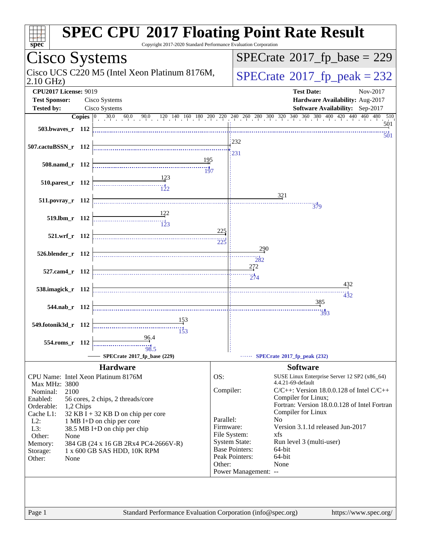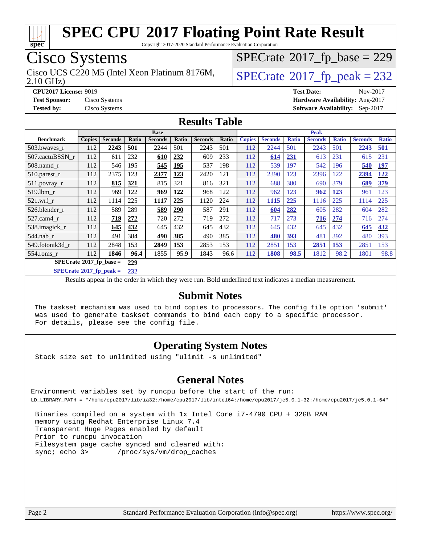

Copyright 2017-2020 Standard Performance Evaluation Corporation

## Cisco Systems

2.10 GHz) Cisco UCS C220 M5 (Intel Xeon Platinum 8176M,  $\big|$  [SPECrate](http://www.spec.org/auto/cpu2017/Docs/result-fields.html#SPECrate2017fppeak)®[2017\\_fp\\_peak = 2](http://www.spec.org/auto/cpu2017/Docs/result-fields.html#SPECrate2017fppeak)32

 $SPECTate$ <sup>®</sup>[2017\\_fp\\_base =](http://www.spec.org/auto/cpu2017/Docs/result-fields.html#SPECrate2017fpbase) 229

**[Test Sponsor:](http://www.spec.org/auto/cpu2017/Docs/result-fields.html#TestSponsor)** Cisco Systems **[Hardware Availability:](http://www.spec.org/auto/cpu2017/Docs/result-fields.html#HardwareAvailability)** Aug-2017

**[Tested by:](http://www.spec.org/auto/cpu2017/Docs/result-fields.html#Testedby)** Cisco Systems **[Software Availability:](http://www.spec.org/auto/cpu2017/Docs/result-fields.html#SoftwareAvailability)** Sep-2017

**[CPU2017 License:](http://www.spec.org/auto/cpu2017/Docs/result-fields.html#CPU2017License)** 9019 **[Test Date:](http://www.spec.org/auto/cpu2017/Docs/result-fields.html#TestDate)** Nov-2017

**[Results Table](http://www.spec.org/auto/cpu2017/Docs/result-fields.html#ResultsTable)**

|                                  | <b>Base</b>   |                |            |                |            | <b>Peak</b>    |       |               |                |              |                |              |                |              |
|----------------------------------|---------------|----------------|------------|----------------|------------|----------------|-------|---------------|----------------|--------------|----------------|--------------|----------------|--------------|
| <b>Benchmark</b>                 | <b>Copies</b> | <b>Seconds</b> | Ratio      | <b>Seconds</b> | Ratio      | <b>Seconds</b> | Ratio | <b>Copies</b> | <b>Seconds</b> | <b>Ratio</b> | <b>Seconds</b> | <b>Ratio</b> | <b>Seconds</b> | <b>Ratio</b> |
| 503.bwayes r                     | 112           | 2243           | 501        | 2244           | 501        | 2243           | 501   | 112           | 2244           | 501          | 2243           | 501          | 2243           | 501          |
| 507.cactuBSSN r                  | 112           | 611            | 232        | 610            | 232        | 609            | 233   | 112           | 614            | 231          | 613            | 231          | 615            | 231          |
| $508$ .namd $r$                  | 112           | 546            | 195        | 545            | 195        | 537            | 198   | 112           | 539            | 197          | 542            | 196          | 540            | <b>197</b>   |
| $510.parest_r$                   | 112           | 2375           | 123        | 2377           | 123        | 2420           | 121   | 112           | 2390           | 123          | 2396           | 122          | 2394           | 122          |
| $511.$ povray_r                  | 112           | 815            | <u>321</u> | 815            | 321        | 816            | 321   | 112           | 688            | 380          | 690            | 379          | 689            | 379          |
| 519.1bm r                        | 112           | 969            | 122        | 969            | <b>122</b> | 968            | 122   | 112           | 962            | 123          | 962            | <u>123</u>   | 961            | 123          |
| $521$ .wrf r                     | 112           | 1114           | 225        | 1117           | 225        | 1120           | 224   | 112           | 1115           | 225          | 1116           | 225          | 1114           | 225          |
| 526.blender r                    | 112           | 589            | 289        | 589            | <u>290</u> | 587            | 291   | 112           | 604            | 282          | 605            | 282          | 604            | 282          |
| 527.cam4 r                       | 112           | 719            | 272        | 720            | 272        | 719            | 272   | 112           | 717            | 273          | 716            | 274          | 716            | 274          |
| 538.imagick_r                    | 112           | 645            | 432        | 645            | 432        | 645            | 432   | 112           | 645            | 432          | 645            | 432          | 645            | 432          |
| 544.nab r                        | 112           | 491            | 384        | 490            | 385        | 490            | 385   | 112           | 480            | 393          | 481            | 392          | 480            | 393          |
| 549.fotonik3d r                  | 112           | 2848           | 153        | 2849           | 153        | 2853           | 153   | 112           | 2851           | 153          | 2851           | 153          | 2851           | 153          |
| $554$ .roms r                    | 112           | 1846           | 96.4       | 1855           | 95.9       | 1843           | 96.6  | 112           | 1808           | 98.5         | 1812           | 98.2         | 1801           | 98.8         |
| $SPECrate^{\circ}2017$ fp base = |               | 229            |            |                |            |                |       |               |                |              |                |              |                |              |

**[SPECrate](http://www.spec.org/auto/cpu2017/Docs/result-fields.html#SPECrate2017fppeak)[2017\\_fp\\_peak =](http://www.spec.org/auto/cpu2017/Docs/result-fields.html#SPECrate2017fppeak) 232**

Results appear in the [order in which they were run.](http://www.spec.org/auto/cpu2017/Docs/result-fields.html#RunOrder) Bold underlined text [indicates a median measurement.](http://www.spec.org/auto/cpu2017/Docs/result-fields.html#Median)

#### **[Submit Notes](http://www.spec.org/auto/cpu2017/Docs/result-fields.html#SubmitNotes)**

 The taskset mechanism was used to bind copies to processors. The config file option 'submit' was used to generate taskset commands to bind each copy to a specific processor. For details, please see the config file.

#### **[Operating System Notes](http://www.spec.org/auto/cpu2017/Docs/result-fields.html#OperatingSystemNotes)**

Stack size set to unlimited using "ulimit -s unlimited"

#### **[General Notes](http://www.spec.org/auto/cpu2017/Docs/result-fields.html#GeneralNotes)**

Environment variables set by runcpu before the start of the run: LD\_LIBRARY\_PATH = "/home/cpu2017/lib/ia32:/home/cpu2017/lib/intel64:/home/cpu2017/je5.0.1-32:/home/cpu2017/je5.0.1-64"

 Binaries compiled on a system with 1x Intel Core i7-4790 CPU + 32GB RAM memory using Redhat Enterprise Linux 7.4 Transparent Huge Pages enabled by default Prior to runcpu invocation Filesystem page cache synced and cleared with: sync; echo 3> /proc/sys/vm/drop\_caches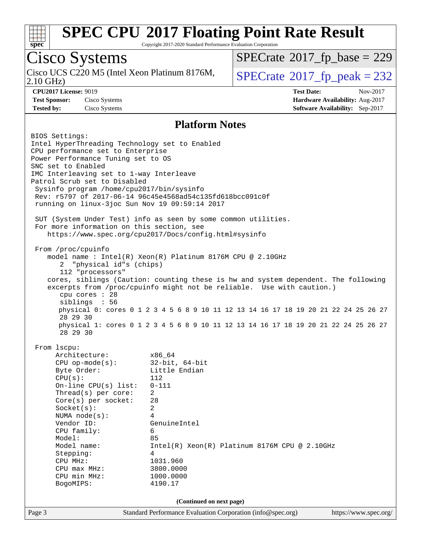

Copyright 2017-2020 Standard Performance Evaluation Corporation

# Cisco Systems

Cisco UCS C220 M5 (Intel Xeon Platinum 8176M,<br>2.10 GHz)

 $SPECTate$ <sup>®</sup>[2017\\_fp\\_base =](http://www.spec.org/auto/cpu2017/Docs/result-fields.html#SPECrate2017fpbase) 229

 $SPECTate<sup>®</sup>2017_fp_peak = 232$  $SPECTate<sup>®</sup>2017_fp_peak = 232$  $SPECTate<sup>®</sup>2017_fp_peak = 232$ 

**[CPU2017 License:](http://www.spec.org/auto/cpu2017/Docs/result-fields.html#CPU2017License)** 9019 **[Test Date:](http://www.spec.org/auto/cpu2017/Docs/result-fields.html#TestDate)** Nov-2017 **[Test Sponsor:](http://www.spec.org/auto/cpu2017/Docs/result-fields.html#TestSponsor)** Cisco Systems **[Hardware Availability:](http://www.spec.org/auto/cpu2017/Docs/result-fields.html#HardwareAvailability)** Aug-2017 **[Tested by:](http://www.spec.org/auto/cpu2017/Docs/result-fields.html#Testedby)** Cisco Systems **[Software Availability:](http://www.spec.org/auto/cpu2017/Docs/result-fields.html#SoftwareAvailability)** Sep-2017

#### **[Platform Notes](http://www.spec.org/auto/cpu2017/Docs/result-fields.html#PlatformNotes)**

Page 3 Standard Performance Evaluation Corporation [\(info@spec.org\)](mailto:info@spec.org) <https://www.spec.org/> BIOS Settings: Intel HyperThreading Technology set to Enabled CPU performance set to Enterprise Power Performance Tuning set to OS SNC set to Enabled IMC Interleaving set to 1-way Interleave Patrol Scrub set to Disabled Sysinfo program /home/cpu2017/bin/sysinfo Rev: r5797 of 2017-06-14 96c45e4568ad54c135fd618bcc091c0f running on linux-3joc Sun Nov 19 09:59:14 2017 SUT (System Under Test) info as seen by some common utilities. For more information on this section, see <https://www.spec.org/cpu2017/Docs/config.html#sysinfo> From /proc/cpuinfo model name : Intel(R) Xeon(R) Platinum 8176M CPU @ 2.10GHz 2 "physical id"s (chips) 112 "processors" cores, siblings (Caution: counting these is hw and system dependent. The following excerpts from /proc/cpuinfo might not be reliable. Use with caution.) cpu cores : 28 siblings : 56 physical 0: cores 0 1 2 3 4 5 6 8 9 10 11 12 13 14 16 17 18 19 20 21 22 24 25 26 27 28 29 30 physical 1: cores 0 1 2 3 4 5 6 8 9 10 11 12 13 14 16 17 18 19 20 21 22 24 25 26 27 28 29 30 From lscpu: Architecture: x86\_64 CPU op-mode(s): 32-bit, 64-bit Byte Order: Little Endian CPU(s): 112 On-line CPU(s) list: 0-111 Thread(s) per core: 2 Core(s) per socket: 28 Socket(s): 2 NUMA node(s): 4 Vendor ID: GenuineIntel CPU family: 6 Model: 85 Model name:  $Intel(R)$  Xeon(R) Platinum 8176M CPU @ 2.10GHz Stepping: 4 CPU MHz: 1031.960 CPU max MHz: 3800.0000 CPU min MHz: 1000.0000 BogoMIPS: 4190.17 **(Continued on next page)**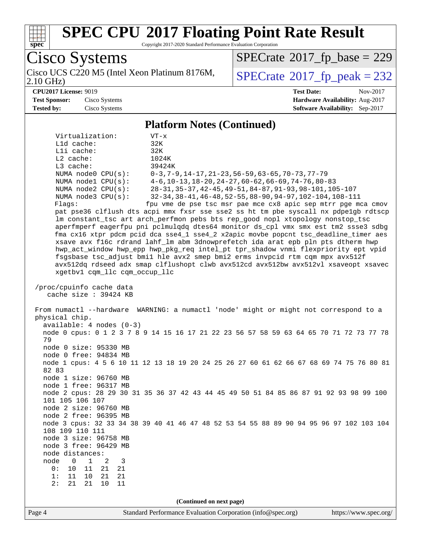

Copyright 2017-2020 Standard Performance Evaluation Corporation

Page 4 Standard Performance Evaluation Corporation [\(info@spec.org\)](mailto:info@spec.org) <https://www.spec.org/> Cisco Systems Cisco UCS C220 M5 (Intel Xeon Platinum 8176M,<br>2.10 GHz)  $SPECTate<sup>®</sup>2017_fp_peak = 232$  $SPECTate<sup>®</sup>2017_fp_peak = 232$  $SPECTate<sup>®</sup>2017_fp_peak = 232$  $SPECTate$ <sup>®</sup>[2017\\_fp\\_base =](http://www.spec.org/auto/cpu2017/Docs/result-fields.html#SPECrate2017fpbase) 229 **[CPU2017 License:](http://www.spec.org/auto/cpu2017/Docs/result-fields.html#CPU2017License)** 9019 **[Test Date:](http://www.spec.org/auto/cpu2017/Docs/result-fields.html#TestDate)** Nov-2017 **[Test Sponsor:](http://www.spec.org/auto/cpu2017/Docs/result-fields.html#TestSponsor)** Cisco Systems **[Hardware Availability:](http://www.spec.org/auto/cpu2017/Docs/result-fields.html#HardwareAvailability)** Aug-2017 **[Tested by:](http://www.spec.org/auto/cpu2017/Docs/result-fields.html#Testedby)** Cisco Systems **[Software Availability:](http://www.spec.org/auto/cpu2017/Docs/result-fields.html#SoftwareAvailability)** Sep-2017 **[Platform Notes \(Continued\)](http://www.spec.org/auto/cpu2017/Docs/result-fields.html#PlatformNotes)** Virtualization: VT-x L1d cache: 32K L1i cache: 32K L2 cache: 1024K L3 cache: 39424K NUMA node0 CPU(s): 0-3,7-9,14-17,21-23,56-59,63-65,70-73,77-79 NUMA node1 CPU(s): 4-6,10-13,18-20,24-27,60-62,66-69,74-76,80-83 NUMA node2 CPU(s): 28-31,35-37,42-45,49-51,84-87,91-93,98-101,105-107 NUMA node3 CPU(s): 32-34,38-41,46-48,52-55,88-90,94-97,102-104,108-111 Flags: fpu vme de pse tsc msr pae mce cx8 apic sep mtrr pge mca cmov pat pse36 clflush dts acpi mmx fxsr sse sse2 ss ht tm pbe syscall nx pdpe1gb rdtscp lm constant\_tsc art arch\_perfmon pebs bts rep\_good nopl xtopology nonstop\_tsc aperfmperf eagerfpu pni pclmulqdq dtes64 monitor ds\_cpl vmx smx est tm2 ssse3 sdbg fma cx16 xtpr pdcm pcid dca sse4\_1 sse4\_2 x2apic movbe popcnt tsc\_deadline\_timer aes xsave avx f16c rdrand lahf\_lm abm 3dnowprefetch ida arat epb pln pts dtherm hwp hwp\_act\_window hwp\_epp hwp\_pkg\_req intel\_pt tpr\_shadow vnmi flexpriority ept vpid fsgsbase tsc\_adjust bmi1 hle avx2 smep bmi2 erms invpcid rtm cqm mpx avx512f avx512dq rdseed adx smap clflushopt clwb avx512cd avx512bw avx512vl xsaveopt xsavec xgetbv1 cqm\_llc cqm\_occup\_llc /proc/cpuinfo cache data cache size : 39424 KB From numactl --hardware WARNING: a numactl 'node' might or might not correspond to a physical chip. available: 4 nodes (0-3) node 0 cpus: 0 1 2 3 7 8 9 14 15 16 17 21 22 23 56 57 58 59 63 64 65 70 71 72 73 77 78 79 node 0 size: 95330 MB node 0 free: 94834 MB node 1 cpus: 4 5 6 10 11 12 13 18 19 20 24 25 26 27 60 61 62 66 67 68 69 74 75 76 80 81 82 83 node 1 size: 96760 MB node 1 free: 96317 MB node 2 cpus: 28 29 30 31 35 36 37 42 43 44 45 49 50 51 84 85 86 87 91 92 93 98 99 100 101 105 106 107 node 2 size: 96760 MB node 2 free: 96395 MB node 3 cpus: 32 33 34 38 39 40 41 46 47 48 52 53 54 55 88 89 90 94 95 96 97 102 103 104 108 109 110 111 node 3 size: 96758 MB node 3 free: 96429 MB node distances: node 0 1 2 3<br>0: 10 11 21 21 0: 10 11 21 21 1: 11 10 21 21 2: 21 21 10 11 **(Continued on next page)**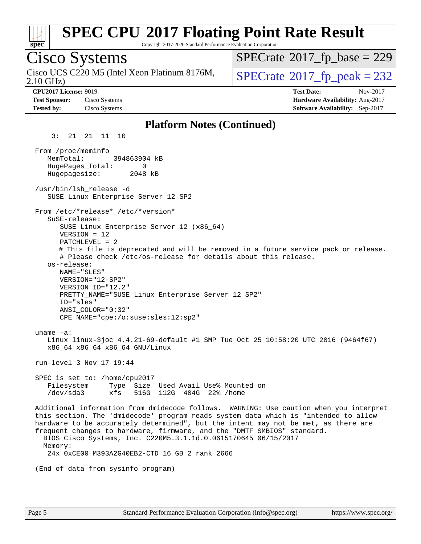| <b>SPEC CPU®2017 Floating Point Rate Result</b><br>Copyright 2017-2020 Standard Performance Evaluation Corporation<br>spec <sup>®</sup>                                                                                                                                                                                                                                                                                                                                                                  |                                                                                                     |
|----------------------------------------------------------------------------------------------------------------------------------------------------------------------------------------------------------------------------------------------------------------------------------------------------------------------------------------------------------------------------------------------------------------------------------------------------------------------------------------------------------|-----------------------------------------------------------------------------------------------------|
| Cisco Systems                                                                                                                                                                                                                                                                                                                                                                                                                                                                                            | $SPECrate^{\circ}2017$ fp base = 229                                                                |
| Cisco UCS C220 M5 (Intel Xeon Platinum 8176M,<br>$2.10$ GHz)                                                                                                                                                                                                                                                                                                                                                                                                                                             | $SPECTate@2017fr peak = 232$                                                                        |
| <b>CPU2017 License: 9019</b><br><b>Test Sponsor:</b><br>Cisco Systems<br>Cisco Systems<br><b>Tested by:</b>                                                                                                                                                                                                                                                                                                                                                                                              | <b>Test Date:</b><br>Nov-2017<br>Hardware Availability: Aug-2017<br>Software Availability: Sep-2017 |
| <b>Platform Notes (Continued)</b>                                                                                                                                                                                                                                                                                                                                                                                                                                                                        |                                                                                                     |
| 3:<br>21<br>21 11 10                                                                                                                                                                                                                                                                                                                                                                                                                                                                                     |                                                                                                     |
| From /proc/meminfo<br>MemTotal:<br>394863904 kB<br>HugePages_Total:<br>0<br>Hugepagesize:<br>2048 kB                                                                                                                                                                                                                                                                                                                                                                                                     |                                                                                                     |
| /usr/bin/lsb_release -d<br>SUSE Linux Enterprise Server 12 SP2                                                                                                                                                                                                                                                                                                                                                                                                                                           |                                                                                                     |
| From /etc/*release* /etc/*version*<br>SuSE-release:<br>SUSE Linux Enterprise Server 12 (x86_64)<br>$VERSION = 12$<br>$PATCHLEVEL = 2$<br># This file is deprecated and will be removed in a future service pack or release.<br># Please check /etc/os-release for details about this release.<br>os-release:<br>NAME="SLES"<br>VERSION="12-SP2"<br>VERSION_ID="12.2"<br>PRETTY_NAME="SUSE Linux Enterprise Server 12 SP2"<br>ID="sles"<br>$ANSI$ _COLOR=" $0:32$ "<br>CPE_NAME="cpe:/o:suse:sles:12:sp2" |                                                                                                     |
| uname $-a$ :<br>Linux linux-3joc 4.4.21-69-default #1 SMP Tue Oct 25 10:58:20 UTC 2016 (9464f67)<br>x86_64 x86_64 x86_64 GNU/Linux                                                                                                                                                                                                                                                                                                                                                                       |                                                                                                     |
| run-level 3 Nov 17 19:44                                                                                                                                                                                                                                                                                                                                                                                                                                                                                 |                                                                                                     |
| SPEC is set to: /home/cpu2017<br>Filesystem<br>Type Size Used Avail Use% Mounted on<br>/dev/sda3<br>xfs<br>516G 112G 404G 22% / home                                                                                                                                                                                                                                                                                                                                                                     |                                                                                                     |
| Additional information from dmidecode follows. WARNING: Use caution when you interpret<br>this section. The 'dmidecode' program reads system data which is "intended to allow<br>hardware to be accurately determined", but the intent may not be met, as there are<br>frequent changes to hardware, firmware, and the "DMTF SMBIOS" standard.<br>BIOS Cisco Systems, Inc. C220M5.3.1.1d.0.0615170645 06/15/2017<br>Memory:<br>24x 0xCE00 M393A2G40EB2-CTD 16 GB 2 rank 2666                             |                                                                                                     |
| (End of data from sysinfo program)                                                                                                                                                                                                                                                                                                                                                                                                                                                                       |                                                                                                     |
|                                                                                                                                                                                                                                                                                                                                                                                                                                                                                                          |                                                                                                     |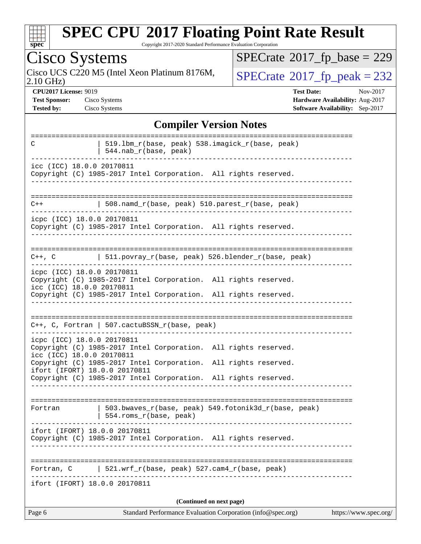| S)<br>c<br>L<br>L. |  |  |  |  |  |
|--------------------|--|--|--|--|--|

Copyright 2017-2020 Standard Performance Evaluation Corporation

Cisco Systems<br>Cisco UCS C220 M5 (Intel Xeon Platinum 8176M, 2.10 GHz)

 $SPECrate$ <sup>®</sup>[2017\\_fp\\_base =](http://www.spec.org/auto/cpu2017/Docs/result-fields.html#SPECrate2017fpbase) 229

 $SPECTate@2017_fp\_peak = 232$ 

**[CPU2017 License:](http://www.spec.org/auto/cpu2017/Docs/result-fields.html#CPU2017License)** 9019 **[Test Date:](http://www.spec.org/auto/cpu2017/Docs/result-fields.html#TestDate)** Nov-2017 **[Test Sponsor:](http://www.spec.org/auto/cpu2017/Docs/result-fields.html#TestSponsor)** Cisco Systems **[Hardware Availability:](http://www.spec.org/auto/cpu2017/Docs/result-fields.html#HardwareAvailability)** Aug-2017 **[Tested by:](http://www.spec.org/auto/cpu2017/Docs/result-fields.html#Testedby)** Cisco Systems **[Software Availability:](http://www.spec.org/auto/cpu2017/Docs/result-fields.html#SoftwareAvailability)** Sep-2017

#### **[Compiler Version Notes](http://www.spec.org/auto/cpu2017/Docs/result-fields.html#CompilerVersionNotes)**

| C                                                       | 519.1bm_r(base, peak) 538.imagick_r(base, peak)<br>$544.nab_r(base, peak)$              |                       |
|---------------------------------------------------------|-----------------------------------------------------------------------------------------|-----------------------|
| icc (ICC) 18.0.0 20170811                               | Copyright (C) 1985-2017 Intel Corporation. All rights reserved.                         |                       |
|                                                         |                                                                                         |                       |
| $C++$                                                   | 508.namd_r(base, peak) 510.parest_r(base, peak)                                         |                       |
| icpc (ICC) 18.0.0 20170811                              | Copyright (C) 1985-2017 Intel Corporation. All rights reserved.                         |                       |
|                                                         | C++, C $ $ 511.povray_r(base, peak) 526.blender_r(base, peak)                           |                       |
| icpc (ICC) 18.0.0 20170811<br>icc (ICC) 18.0.0 20170811 | Copyright (C) 1985-2017 Intel Corporation. All rights reserved.                         |                       |
|                                                         | Copyright (C) 1985-2017 Intel Corporation. All rights reserved.                         |                       |
|                                                         | $C++$ , C, Fortran   507.cactuBSSN_r(base, peak)                                        |                       |
| icpc (ICC) 18.0.0 20170811<br>icc (ICC) 18.0.0 20170811 | Copyright (C) 1985-2017 Intel Corporation. All rights reserved.                         |                       |
| ifort (IFORT) 18.0.0 20170811                           | Copyright (C) 1985-2017 Intel Corporation. All rights reserved.                         |                       |
|                                                         | Copyright (C) 1985-2017 Intel Corporation. All rights reserved.                         |                       |
| Fortran                                                 | 503.bwaves_r(base, peak) 549.fotonik3d_r(base, peak)<br>554.roms_r(base, peak)          |                       |
| ifort (IFORT) 18.0.0 20170811                           | Copyright (C) 1985-2017 Intel Corporation. All rights reserved.                         |                       |
| Fortran, C                                              | 521.wrf_r(base, peak) 527.cam4_r(base, peak)                                            |                       |
| ifort (IFORT) 18.0.0 20170811                           |                                                                                         |                       |
| Page 6                                                  | (Continued on next page)<br>Standard Performance Evaluation Corporation (info@spec.org) | https://www.spec.org/ |
|                                                         |                                                                                         |                       |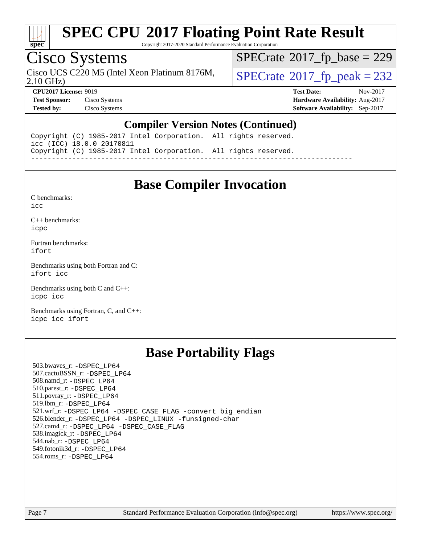

Copyright 2017-2020 Standard Performance Evaluation Corporation

### Cisco Systems

Cisco UCS C220 M5 (Intel Xeon Platinum 8176M,  $SPECrate@2017_fp\_peak = 232$  $SPECrate@2017_fp\_peak = 232$ 

 $SPECrate$ <sup>®</sup>[2017\\_fp\\_base =](http://www.spec.org/auto/cpu2017/Docs/result-fields.html#SPECrate2017fpbase) 229

2.10 GHz)

**[CPU2017 License:](http://www.spec.org/auto/cpu2017/Docs/result-fields.html#CPU2017License)** 9019 **[Test Date:](http://www.spec.org/auto/cpu2017/Docs/result-fields.html#TestDate)** Nov-2017 **[Test Sponsor:](http://www.spec.org/auto/cpu2017/Docs/result-fields.html#TestSponsor)** Cisco Systems **[Hardware Availability:](http://www.spec.org/auto/cpu2017/Docs/result-fields.html#HardwareAvailability)** Aug-2017 **[Tested by:](http://www.spec.org/auto/cpu2017/Docs/result-fields.html#Testedby)** Cisco Systems **[Software Availability:](http://www.spec.org/auto/cpu2017/Docs/result-fields.html#SoftwareAvailability)** Sep-2017

#### **[Compiler Version Notes \(Continued\)](http://www.spec.org/auto/cpu2017/Docs/result-fields.html#CompilerVersionNotes)**

Copyright (C) 1985-2017 Intel Corporation. All rights reserved. icc (ICC) 18.0.0 20170811 Copyright (C) 1985-2017 Intel Corporation. All rights reserved. ------------------------------------------------------------------------------

#### **[Base Compiler Invocation](http://www.spec.org/auto/cpu2017/Docs/result-fields.html#BaseCompilerInvocation)**

[C benchmarks](http://www.spec.org/auto/cpu2017/Docs/result-fields.html#Cbenchmarks):

[icc](http://www.spec.org/cpu2017/results/res2017q4/cpu2017-20171128-01119.flags.html#user_CCbase_intel_icc_18.0_66fc1ee009f7361af1fbd72ca7dcefbb700085f36577c54f309893dd4ec40d12360134090235512931783d35fd58c0460139e722d5067c5574d8eaf2b3e37e92)

[C++ benchmarks:](http://www.spec.org/auto/cpu2017/Docs/result-fields.html#CXXbenchmarks) [icpc](http://www.spec.org/cpu2017/results/res2017q4/cpu2017-20171128-01119.flags.html#user_CXXbase_intel_icpc_18.0_c510b6838c7f56d33e37e94d029a35b4a7bccf4766a728ee175e80a419847e808290a9b78be685c44ab727ea267ec2f070ec5dc83b407c0218cded6866a35d07)

[Fortran benchmarks](http://www.spec.org/auto/cpu2017/Docs/result-fields.html#Fortranbenchmarks): [ifort](http://www.spec.org/cpu2017/results/res2017q4/cpu2017-20171128-01119.flags.html#user_FCbase_intel_ifort_18.0_8111460550e3ca792625aed983ce982f94888b8b503583aa7ba2b8303487b4d8a21a13e7191a45c5fd58ff318f48f9492884d4413fa793fd88dd292cad7027ca)

[Benchmarks using both Fortran and C](http://www.spec.org/auto/cpu2017/Docs/result-fields.html#BenchmarksusingbothFortranandC): [ifort](http://www.spec.org/cpu2017/results/res2017q4/cpu2017-20171128-01119.flags.html#user_CC_FCbase_intel_ifort_18.0_8111460550e3ca792625aed983ce982f94888b8b503583aa7ba2b8303487b4d8a21a13e7191a45c5fd58ff318f48f9492884d4413fa793fd88dd292cad7027ca) [icc](http://www.spec.org/cpu2017/results/res2017q4/cpu2017-20171128-01119.flags.html#user_CC_FCbase_intel_icc_18.0_66fc1ee009f7361af1fbd72ca7dcefbb700085f36577c54f309893dd4ec40d12360134090235512931783d35fd58c0460139e722d5067c5574d8eaf2b3e37e92)

[Benchmarks using both C and C++](http://www.spec.org/auto/cpu2017/Docs/result-fields.html#BenchmarksusingbothCandCXX): [icpc](http://www.spec.org/cpu2017/results/res2017q4/cpu2017-20171128-01119.flags.html#user_CC_CXXbase_intel_icpc_18.0_c510b6838c7f56d33e37e94d029a35b4a7bccf4766a728ee175e80a419847e808290a9b78be685c44ab727ea267ec2f070ec5dc83b407c0218cded6866a35d07) [icc](http://www.spec.org/cpu2017/results/res2017q4/cpu2017-20171128-01119.flags.html#user_CC_CXXbase_intel_icc_18.0_66fc1ee009f7361af1fbd72ca7dcefbb700085f36577c54f309893dd4ec40d12360134090235512931783d35fd58c0460139e722d5067c5574d8eaf2b3e37e92)

[Benchmarks using Fortran, C, and C++:](http://www.spec.org/auto/cpu2017/Docs/result-fields.html#BenchmarksusingFortranCandCXX) [icpc](http://www.spec.org/cpu2017/results/res2017q4/cpu2017-20171128-01119.flags.html#user_CC_CXX_FCbase_intel_icpc_18.0_c510b6838c7f56d33e37e94d029a35b4a7bccf4766a728ee175e80a419847e808290a9b78be685c44ab727ea267ec2f070ec5dc83b407c0218cded6866a35d07) [icc](http://www.spec.org/cpu2017/results/res2017q4/cpu2017-20171128-01119.flags.html#user_CC_CXX_FCbase_intel_icc_18.0_66fc1ee009f7361af1fbd72ca7dcefbb700085f36577c54f309893dd4ec40d12360134090235512931783d35fd58c0460139e722d5067c5574d8eaf2b3e37e92) [ifort](http://www.spec.org/cpu2017/results/res2017q4/cpu2017-20171128-01119.flags.html#user_CC_CXX_FCbase_intel_ifort_18.0_8111460550e3ca792625aed983ce982f94888b8b503583aa7ba2b8303487b4d8a21a13e7191a45c5fd58ff318f48f9492884d4413fa793fd88dd292cad7027ca)

#### **[Base Portability Flags](http://www.spec.org/auto/cpu2017/Docs/result-fields.html#BasePortabilityFlags)**

 503.bwaves\_r: [-DSPEC\\_LP64](http://www.spec.org/cpu2017/results/res2017q4/cpu2017-20171128-01119.flags.html#suite_basePORTABILITY503_bwaves_r_DSPEC_LP64) 507.cactuBSSN\_r: [-DSPEC\\_LP64](http://www.spec.org/cpu2017/results/res2017q4/cpu2017-20171128-01119.flags.html#suite_basePORTABILITY507_cactuBSSN_r_DSPEC_LP64) 508.namd\_r: [-DSPEC\\_LP64](http://www.spec.org/cpu2017/results/res2017q4/cpu2017-20171128-01119.flags.html#suite_basePORTABILITY508_namd_r_DSPEC_LP64) 510.parest\_r: [-DSPEC\\_LP64](http://www.spec.org/cpu2017/results/res2017q4/cpu2017-20171128-01119.flags.html#suite_basePORTABILITY510_parest_r_DSPEC_LP64) 511.povray\_r: [-DSPEC\\_LP64](http://www.spec.org/cpu2017/results/res2017q4/cpu2017-20171128-01119.flags.html#suite_basePORTABILITY511_povray_r_DSPEC_LP64) 519.lbm\_r: [-DSPEC\\_LP64](http://www.spec.org/cpu2017/results/res2017q4/cpu2017-20171128-01119.flags.html#suite_basePORTABILITY519_lbm_r_DSPEC_LP64) 521.wrf\_r: [-DSPEC\\_LP64](http://www.spec.org/cpu2017/results/res2017q4/cpu2017-20171128-01119.flags.html#suite_basePORTABILITY521_wrf_r_DSPEC_LP64) [-DSPEC\\_CASE\\_FLAG](http://www.spec.org/cpu2017/results/res2017q4/cpu2017-20171128-01119.flags.html#b521.wrf_r_baseCPORTABILITY_DSPEC_CASE_FLAG) [-convert big\\_endian](http://www.spec.org/cpu2017/results/res2017q4/cpu2017-20171128-01119.flags.html#user_baseFPORTABILITY521_wrf_r_convert_big_endian_c3194028bc08c63ac5d04de18c48ce6d347e4e562e8892b8bdbdc0214820426deb8554edfa529a3fb25a586e65a3d812c835984020483e7e73212c4d31a38223) 526.blender\_r: [-DSPEC\\_LP64](http://www.spec.org/cpu2017/results/res2017q4/cpu2017-20171128-01119.flags.html#suite_basePORTABILITY526_blender_r_DSPEC_LP64) [-DSPEC\\_LINUX](http://www.spec.org/cpu2017/results/res2017q4/cpu2017-20171128-01119.flags.html#b526.blender_r_baseCPORTABILITY_DSPEC_LINUX) [-funsigned-char](http://www.spec.org/cpu2017/results/res2017q4/cpu2017-20171128-01119.flags.html#user_baseCPORTABILITY526_blender_r_force_uchar_40c60f00ab013830e2dd6774aeded3ff59883ba5a1fc5fc14077f794d777847726e2a5858cbc7672e36e1b067e7e5c1d9a74f7176df07886a243d7cc18edfe67) 527.cam4\_r: [-DSPEC\\_LP64](http://www.spec.org/cpu2017/results/res2017q4/cpu2017-20171128-01119.flags.html#suite_basePORTABILITY527_cam4_r_DSPEC_LP64) [-DSPEC\\_CASE\\_FLAG](http://www.spec.org/cpu2017/results/res2017q4/cpu2017-20171128-01119.flags.html#b527.cam4_r_baseCPORTABILITY_DSPEC_CASE_FLAG) 538.imagick\_r: [-DSPEC\\_LP64](http://www.spec.org/cpu2017/results/res2017q4/cpu2017-20171128-01119.flags.html#suite_basePORTABILITY538_imagick_r_DSPEC_LP64) 544.nab\_r: [-DSPEC\\_LP64](http://www.spec.org/cpu2017/results/res2017q4/cpu2017-20171128-01119.flags.html#suite_basePORTABILITY544_nab_r_DSPEC_LP64) 549.fotonik3d\_r: [-DSPEC\\_LP64](http://www.spec.org/cpu2017/results/res2017q4/cpu2017-20171128-01119.flags.html#suite_basePORTABILITY549_fotonik3d_r_DSPEC_LP64) 554.roms\_r: [-DSPEC\\_LP64](http://www.spec.org/cpu2017/results/res2017q4/cpu2017-20171128-01119.flags.html#suite_basePORTABILITY554_roms_r_DSPEC_LP64)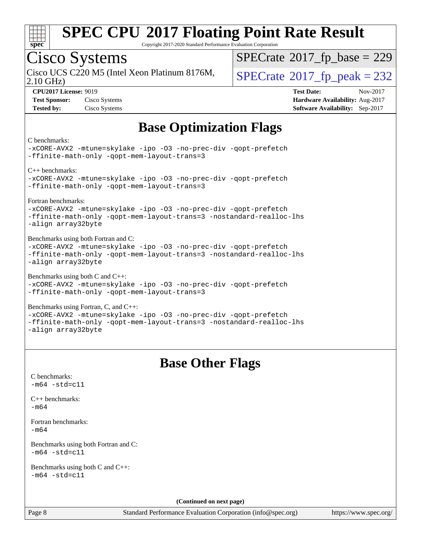

Copyright 2017-2020 Standard Performance Evaluation Corporation

# Cisco Systems

Cisco UCS C220 M5 (Intel Xeon Platinum 8176M,  $\big|$  [SPECrate](http://www.spec.org/auto/cpu2017/Docs/result-fields.html#SPECrate2017fppeak)®[2017\\_fp\\_peak = 2](http://www.spec.org/auto/cpu2017/Docs/result-fields.html#SPECrate2017fppeak)32

 $SPECTate$ <sup>®</sup>[2017\\_fp\\_base =](http://www.spec.org/auto/cpu2017/Docs/result-fields.html#SPECrate2017fpbase) 229

2.10 GHz)

**[CPU2017 License:](http://www.spec.org/auto/cpu2017/Docs/result-fields.html#CPU2017License)** 9019 **[Test Date:](http://www.spec.org/auto/cpu2017/Docs/result-fields.html#TestDate)** Nov-2017 **[Test Sponsor:](http://www.spec.org/auto/cpu2017/Docs/result-fields.html#TestSponsor)** Cisco Systems **[Hardware Availability:](http://www.spec.org/auto/cpu2017/Docs/result-fields.html#HardwareAvailability)** Aug-2017 **[Tested by:](http://www.spec.org/auto/cpu2017/Docs/result-fields.html#Testedby)** Cisco Systems **[Software Availability:](http://www.spec.org/auto/cpu2017/Docs/result-fields.html#SoftwareAvailability)** Sep-2017

## **[Base Optimization Flags](http://www.spec.org/auto/cpu2017/Docs/result-fields.html#BaseOptimizationFlags)**

[C benchmarks:](http://www.spec.org/auto/cpu2017/Docs/result-fields.html#Cbenchmarks)

[-xCORE-AVX2](http://www.spec.org/cpu2017/results/res2017q4/cpu2017-20171128-01119.flags.html#user_CCbase_f-xCORE-AVX2) [-mtune=skylake](http://www.spec.org/cpu2017/results/res2017q4/cpu2017-20171128-01119.flags.html#user_CCbase_intel_tune_for_skl_86c59c1c211e48b12105a346951ac973f3f7ff0220150fc87eb7eebc486e6de90273269c1ff7baa1a79f07c9c7651acf41a74c5f56b64e8ea5421baa3b22ec9e) [-ipo](http://www.spec.org/cpu2017/results/res2017q4/cpu2017-20171128-01119.flags.html#user_CCbase_f-ipo) [-O3](http://www.spec.org/cpu2017/results/res2017q4/cpu2017-20171128-01119.flags.html#user_CCbase_f-O3) [-no-prec-div](http://www.spec.org/cpu2017/results/res2017q4/cpu2017-20171128-01119.flags.html#user_CCbase_f-no-prec-div) [-qopt-prefetch](http://www.spec.org/cpu2017/results/res2017q4/cpu2017-20171128-01119.flags.html#user_CCbase_f-qopt-prefetch) [-ffinite-math-only](http://www.spec.org/cpu2017/results/res2017q4/cpu2017-20171128-01119.flags.html#user_CCbase_f_finite_math_only_cb91587bd2077682c4b38af759c288ed7c732db004271a9512da14a4f8007909a5f1427ecbf1a0fb78ff2a814402c6114ac565ca162485bbcae155b5e4258871) [-qopt-mem-layout-trans=3](http://www.spec.org/cpu2017/results/res2017q4/cpu2017-20171128-01119.flags.html#user_CCbase_f-qopt-mem-layout-trans_de80db37974c74b1f0e20d883f0b675c88c3b01e9d123adea9b28688d64333345fb62bc4a798493513fdb68f60282f9a726aa07f478b2f7113531aecce732043) [C++ benchmarks](http://www.spec.org/auto/cpu2017/Docs/result-fields.html#CXXbenchmarks):

[-xCORE-AVX2](http://www.spec.org/cpu2017/results/res2017q4/cpu2017-20171128-01119.flags.html#user_CXXbase_f-xCORE-AVX2) [-mtune=skylake](http://www.spec.org/cpu2017/results/res2017q4/cpu2017-20171128-01119.flags.html#user_CXXbase_intel_tune_for_skl_86c59c1c211e48b12105a346951ac973f3f7ff0220150fc87eb7eebc486e6de90273269c1ff7baa1a79f07c9c7651acf41a74c5f56b64e8ea5421baa3b22ec9e) [-ipo](http://www.spec.org/cpu2017/results/res2017q4/cpu2017-20171128-01119.flags.html#user_CXXbase_f-ipo) [-O3](http://www.spec.org/cpu2017/results/res2017q4/cpu2017-20171128-01119.flags.html#user_CXXbase_f-O3) [-no-prec-div](http://www.spec.org/cpu2017/results/res2017q4/cpu2017-20171128-01119.flags.html#user_CXXbase_f-no-prec-div) [-qopt-prefetch](http://www.spec.org/cpu2017/results/res2017q4/cpu2017-20171128-01119.flags.html#user_CXXbase_f-qopt-prefetch) [-ffinite-math-only](http://www.spec.org/cpu2017/results/res2017q4/cpu2017-20171128-01119.flags.html#user_CXXbase_f_finite_math_only_cb91587bd2077682c4b38af759c288ed7c732db004271a9512da14a4f8007909a5f1427ecbf1a0fb78ff2a814402c6114ac565ca162485bbcae155b5e4258871) [-qopt-mem-layout-trans=3](http://www.spec.org/cpu2017/results/res2017q4/cpu2017-20171128-01119.flags.html#user_CXXbase_f-qopt-mem-layout-trans_de80db37974c74b1f0e20d883f0b675c88c3b01e9d123adea9b28688d64333345fb62bc4a798493513fdb68f60282f9a726aa07f478b2f7113531aecce732043)

[Fortran benchmarks:](http://www.spec.org/auto/cpu2017/Docs/result-fields.html#Fortranbenchmarks)

[-xCORE-AVX2](http://www.spec.org/cpu2017/results/res2017q4/cpu2017-20171128-01119.flags.html#user_FCbase_f-xCORE-AVX2) [-mtune=skylake](http://www.spec.org/cpu2017/results/res2017q4/cpu2017-20171128-01119.flags.html#user_FCbase_intel_tune_for_skl_86c59c1c211e48b12105a346951ac973f3f7ff0220150fc87eb7eebc486e6de90273269c1ff7baa1a79f07c9c7651acf41a74c5f56b64e8ea5421baa3b22ec9e) [-ipo](http://www.spec.org/cpu2017/results/res2017q4/cpu2017-20171128-01119.flags.html#user_FCbase_f-ipo) [-O3](http://www.spec.org/cpu2017/results/res2017q4/cpu2017-20171128-01119.flags.html#user_FCbase_f-O3) [-no-prec-div](http://www.spec.org/cpu2017/results/res2017q4/cpu2017-20171128-01119.flags.html#user_FCbase_f-no-prec-div) [-qopt-prefetch](http://www.spec.org/cpu2017/results/res2017q4/cpu2017-20171128-01119.flags.html#user_FCbase_f-qopt-prefetch) [-ffinite-math-only](http://www.spec.org/cpu2017/results/res2017q4/cpu2017-20171128-01119.flags.html#user_FCbase_f_finite_math_only_cb91587bd2077682c4b38af759c288ed7c732db004271a9512da14a4f8007909a5f1427ecbf1a0fb78ff2a814402c6114ac565ca162485bbcae155b5e4258871) [-qopt-mem-layout-trans=3](http://www.spec.org/cpu2017/results/res2017q4/cpu2017-20171128-01119.flags.html#user_FCbase_f-qopt-mem-layout-trans_de80db37974c74b1f0e20d883f0b675c88c3b01e9d123adea9b28688d64333345fb62bc4a798493513fdb68f60282f9a726aa07f478b2f7113531aecce732043) [-nostandard-realloc-lhs](http://www.spec.org/cpu2017/results/res2017q4/cpu2017-20171128-01119.flags.html#user_FCbase_f_2003_std_realloc_82b4557e90729c0f113870c07e44d33d6f5a304b4f63d4c15d2d0f1fab99f5daaed73bdb9275d9ae411527f28b936061aa8b9c8f2d63842963b95c9dd6426b8a) [-align array32byte](http://www.spec.org/cpu2017/results/res2017q4/cpu2017-20171128-01119.flags.html#user_FCbase_align_array32byte_b982fe038af199962ba9a80c053b8342c548c85b40b8e86eb3cc33dee0d7986a4af373ac2d51c3f7cf710a18d62fdce2948f201cd044323541f22fc0fffc51b6)

[Benchmarks using both Fortran and C:](http://www.spec.org/auto/cpu2017/Docs/result-fields.html#BenchmarksusingbothFortranandC) [-xCORE-AVX2](http://www.spec.org/cpu2017/results/res2017q4/cpu2017-20171128-01119.flags.html#user_CC_FCbase_f-xCORE-AVX2) [-mtune=skylake](http://www.spec.org/cpu2017/results/res2017q4/cpu2017-20171128-01119.flags.html#user_CC_FCbase_intel_tune_for_skl_86c59c1c211e48b12105a346951ac973f3f7ff0220150fc87eb7eebc486e6de90273269c1ff7baa1a79f07c9c7651acf41a74c5f56b64e8ea5421baa3b22ec9e) [-ipo](http://www.spec.org/cpu2017/results/res2017q4/cpu2017-20171128-01119.flags.html#user_CC_FCbase_f-ipo) [-O3](http://www.spec.org/cpu2017/results/res2017q4/cpu2017-20171128-01119.flags.html#user_CC_FCbase_f-O3) [-no-prec-div](http://www.spec.org/cpu2017/results/res2017q4/cpu2017-20171128-01119.flags.html#user_CC_FCbase_f-no-prec-div) [-qopt-prefetch](http://www.spec.org/cpu2017/results/res2017q4/cpu2017-20171128-01119.flags.html#user_CC_FCbase_f-qopt-prefetch) [-ffinite-math-only](http://www.spec.org/cpu2017/results/res2017q4/cpu2017-20171128-01119.flags.html#user_CC_FCbase_f_finite_math_only_cb91587bd2077682c4b38af759c288ed7c732db004271a9512da14a4f8007909a5f1427ecbf1a0fb78ff2a814402c6114ac565ca162485bbcae155b5e4258871) [-qopt-mem-layout-trans=3](http://www.spec.org/cpu2017/results/res2017q4/cpu2017-20171128-01119.flags.html#user_CC_FCbase_f-qopt-mem-layout-trans_de80db37974c74b1f0e20d883f0b675c88c3b01e9d123adea9b28688d64333345fb62bc4a798493513fdb68f60282f9a726aa07f478b2f7113531aecce732043) [-nostandard-realloc-lhs](http://www.spec.org/cpu2017/results/res2017q4/cpu2017-20171128-01119.flags.html#user_CC_FCbase_f_2003_std_realloc_82b4557e90729c0f113870c07e44d33d6f5a304b4f63d4c15d2d0f1fab99f5daaed73bdb9275d9ae411527f28b936061aa8b9c8f2d63842963b95c9dd6426b8a) [-align array32byte](http://www.spec.org/cpu2017/results/res2017q4/cpu2017-20171128-01119.flags.html#user_CC_FCbase_align_array32byte_b982fe038af199962ba9a80c053b8342c548c85b40b8e86eb3cc33dee0d7986a4af373ac2d51c3f7cf710a18d62fdce2948f201cd044323541f22fc0fffc51b6)

[Benchmarks using both C and C++](http://www.spec.org/auto/cpu2017/Docs/result-fields.html#BenchmarksusingbothCandCXX): [-xCORE-AVX2](http://www.spec.org/cpu2017/results/res2017q4/cpu2017-20171128-01119.flags.html#user_CC_CXXbase_f-xCORE-AVX2) [-mtune=skylake](http://www.spec.org/cpu2017/results/res2017q4/cpu2017-20171128-01119.flags.html#user_CC_CXXbase_intel_tune_for_skl_86c59c1c211e48b12105a346951ac973f3f7ff0220150fc87eb7eebc486e6de90273269c1ff7baa1a79f07c9c7651acf41a74c5f56b64e8ea5421baa3b22ec9e) [-ipo](http://www.spec.org/cpu2017/results/res2017q4/cpu2017-20171128-01119.flags.html#user_CC_CXXbase_f-ipo) [-O3](http://www.spec.org/cpu2017/results/res2017q4/cpu2017-20171128-01119.flags.html#user_CC_CXXbase_f-O3) [-no-prec-div](http://www.spec.org/cpu2017/results/res2017q4/cpu2017-20171128-01119.flags.html#user_CC_CXXbase_f-no-prec-div) [-qopt-prefetch](http://www.spec.org/cpu2017/results/res2017q4/cpu2017-20171128-01119.flags.html#user_CC_CXXbase_f-qopt-prefetch) [-ffinite-math-only](http://www.spec.org/cpu2017/results/res2017q4/cpu2017-20171128-01119.flags.html#user_CC_CXXbase_f_finite_math_only_cb91587bd2077682c4b38af759c288ed7c732db004271a9512da14a4f8007909a5f1427ecbf1a0fb78ff2a814402c6114ac565ca162485bbcae155b5e4258871) [-qopt-mem-layout-trans=3](http://www.spec.org/cpu2017/results/res2017q4/cpu2017-20171128-01119.flags.html#user_CC_CXXbase_f-qopt-mem-layout-trans_de80db37974c74b1f0e20d883f0b675c88c3b01e9d123adea9b28688d64333345fb62bc4a798493513fdb68f60282f9a726aa07f478b2f7113531aecce732043)

[Benchmarks using Fortran, C, and C++](http://www.spec.org/auto/cpu2017/Docs/result-fields.html#BenchmarksusingFortranCandCXX): [-xCORE-AVX2](http://www.spec.org/cpu2017/results/res2017q4/cpu2017-20171128-01119.flags.html#user_CC_CXX_FCbase_f-xCORE-AVX2) [-mtune=skylake](http://www.spec.org/cpu2017/results/res2017q4/cpu2017-20171128-01119.flags.html#user_CC_CXX_FCbase_intel_tune_for_skl_86c59c1c211e48b12105a346951ac973f3f7ff0220150fc87eb7eebc486e6de90273269c1ff7baa1a79f07c9c7651acf41a74c5f56b64e8ea5421baa3b22ec9e) [-ipo](http://www.spec.org/cpu2017/results/res2017q4/cpu2017-20171128-01119.flags.html#user_CC_CXX_FCbase_f-ipo) [-O3](http://www.spec.org/cpu2017/results/res2017q4/cpu2017-20171128-01119.flags.html#user_CC_CXX_FCbase_f-O3) [-no-prec-div](http://www.spec.org/cpu2017/results/res2017q4/cpu2017-20171128-01119.flags.html#user_CC_CXX_FCbase_f-no-prec-div) [-qopt-prefetch](http://www.spec.org/cpu2017/results/res2017q4/cpu2017-20171128-01119.flags.html#user_CC_CXX_FCbase_f-qopt-prefetch) [-ffinite-math-only](http://www.spec.org/cpu2017/results/res2017q4/cpu2017-20171128-01119.flags.html#user_CC_CXX_FCbase_f_finite_math_only_cb91587bd2077682c4b38af759c288ed7c732db004271a9512da14a4f8007909a5f1427ecbf1a0fb78ff2a814402c6114ac565ca162485bbcae155b5e4258871) [-qopt-mem-layout-trans=3](http://www.spec.org/cpu2017/results/res2017q4/cpu2017-20171128-01119.flags.html#user_CC_CXX_FCbase_f-qopt-mem-layout-trans_de80db37974c74b1f0e20d883f0b675c88c3b01e9d123adea9b28688d64333345fb62bc4a798493513fdb68f60282f9a726aa07f478b2f7113531aecce732043) [-nostandard-realloc-lhs](http://www.spec.org/cpu2017/results/res2017q4/cpu2017-20171128-01119.flags.html#user_CC_CXX_FCbase_f_2003_std_realloc_82b4557e90729c0f113870c07e44d33d6f5a304b4f63d4c15d2d0f1fab99f5daaed73bdb9275d9ae411527f28b936061aa8b9c8f2d63842963b95c9dd6426b8a) [-align array32byte](http://www.spec.org/cpu2017/results/res2017q4/cpu2017-20171128-01119.flags.html#user_CC_CXX_FCbase_align_array32byte_b982fe038af199962ba9a80c053b8342c548c85b40b8e86eb3cc33dee0d7986a4af373ac2d51c3f7cf710a18d62fdce2948f201cd044323541f22fc0fffc51b6)

### **[Base Other Flags](http://www.spec.org/auto/cpu2017/Docs/result-fields.html#BaseOtherFlags)**

|                                                               | Dast Other Frags         |
|---------------------------------------------------------------|--------------------------|
| C benchmarks:<br>$-m64 - std= c11$                            |                          |
| $C_{++}$ benchmarks:<br>$-m64$                                |                          |
| Fortran benchmarks:<br>$-m64$                                 |                          |
| Benchmarks using both Fortran and C:<br>$-m64 - std= c11$     |                          |
| Benchmarks using both $C$ and $C_{++}$ :<br>$-m64 - std= c11$ |                          |
|                                                               | (Continued on next page) |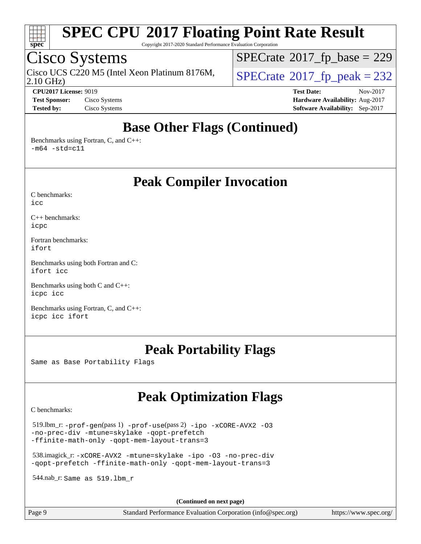

Copyright 2017-2020 Standard Performance Evaluation Corporation

### Cisco Systems

2.10 GHz) Cisco UCS C220 M5 (Intel Xeon Platinum 8176M,  $SPECrate@2017_fp\_peak = 232$  $SPECrate@2017_fp\_peak = 232$ 

 $SPECrate$ <sup>®</sup>[2017\\_fp\\_base =](http://www.spec.org/auto/cpu2017/Docs/result-fields.html#SPECrate2017fpbase) 229

**[CPU2017 License:](http://www.spec.org/auto/cpu2017/Docs/result-fields.html#CPU2017License)** 9019 **[Test Date:](http://www.spec.org/auto/cpu2017/Docs/result-fields.html#TestDate)** Nov-2017 **[Test Sponsor:](http://www.spec.org/auto/cpu2017/Docs/result-fields.html#TestSponsor)** Cisco Systems **[Hardware Availability:](http://www.spec.org/auto/cpu2017/Docs/result-fields.html#HardwareAvailability)** Aug-2017 **[Tested by:](http://www.spec.org/auto/cpu2017/Docs/result-fields.html#Testedby)** Cisco Systems **[Software Availability:](http://www.spec.org/auto/cpu2017/Docs/result-fields.html#SoftwareAvailability)** Sep-2017

### **[Base Other Flags \(Continued\)](http://www.spec.org/auto/cpu2017/Docs/result-fields.html#BaseOtherFlags)**

[Benchmarks using Fortran, C, and C++:](http://www.spec.org/auto/cpu2017/Docs/result-fields.html#BenchmarksusingFortranCandCXX)  $-m64$   $-std=cl1$ 

**[Peak Compiler Invocation](http://www.spec.org/auto/cpu2017/Docs/result-fields.html#PeakCompilerInvocation)**

[C benchmarks](http://www.spec.org/auto/cpu2017/Docs/result-fields.html#Cbenchmarks):  $i$ cc

[C++ benchmarks:](http://www.spec.org/auto/cpu2017/Docs/result-fields.html#CXXbenchmarks) [icpc](http://www.spec.org/cpu2017/results/res2017q4/cpu2017-20171128-01119.flags.html#user_CXXpeak_intel_icpc_18.0_c510b6838c7f56d33e37e94d029a35b4a7bccf4766a728ee175e80a419847e808290a9b78be685c44ab727ea267ec2f070ec5dc83b407c0218cded6866a35d07)

[Fortran benchmarks](http://www.spec.org/auto/cpu2017/Docs/result-fields.html#Fortranbenchmarks): [ifort](http://www.spec.org/cpu2017/results/res2017q4/cpu2017-20171128-01119.flags.html#user_FCpeak_intel_ifort_18.0_8111460550e3ca792625aed983ce982f94888b8b503583aa7ba2b8303487b4d8a21a13e7191a45c5fd58ff318f48f9492884d4413fa793fd88dd292cad7027ca)

[Benchmarks using both Fortran and C](http://www.spec.org/auto/cpu2017/Docs/result-fields.html#BenchmarksusingbothFortranandC): [ifort](http://www.spec.org/cpu2017/results/res2017q4/cpu2017-20171128-01119.flags.html#user_CC_FCpeak_intel_ifort_18.0_8111460550e3ca792625aed983ce982f94888b8b503583aa7ba2b8303487b4d8a21a13e7191a45c5fd58ff318f48f9492884d4413fa793fd88dd292cad7027ca) [icc](http://www.spec.org/cpu2017/results/res2017q4/cpu2017-20171128-01119.flags.html#user_CC_FCpeak_intel_icc_18.0_66fc1ee009f7361af1fbd72ca7dcefbb700085f36577c54f309893dd4ec40d12360134090235512931783d35fd58c0460139e722d5067c5574d8eaf2b3e37e92)

[Benchmarks using both C and C++](http://www.spec.org/auto/cpu2017/Docs/result-fields.html#BenchmarksusingbothCandCXX): [icpc](http://www.spec.org/cpu2017/results/res2017q4/cpu2017-20171128-01119.flags.html#user_CC_CXXpeak_intel_icpc_18.0_c510b6838c7f56d33e37e94d029a35b4a7bccf4766a728ee175e80a419847e808290a9b78be685c44ab727ea267ec2f070ec5dc83b407c0218cded6866a35d07) [icc](http://www.spec.org/cpu2017/results/res2017q4/cpu2017-20171128-01119.flags.html#user_CC_CXXpeak_intel_icc_18.0_66fc1ee009f7361af1fbd72ca7dcefbb700085f36577c54f309893dd4ec40d12360134090235512931783d35fd58c0460139e722d5067c5574d8eaf2b3e37e92)

[Benchmarks using Fortran, C, and C++:](http://www.spec.org/auto/cpu2017/Docs/result-fields.html#BenchmarksusingFortranCandCXX) [icpc](http://www.spec.org/cpu2017/results/res2017q4/cpu2017-20171128-01119.flags.html#user_CC_CXX_FCpeak_intel_icpc_18.0_c510b6838c7f56d33e37e94d029a35b4a7bccf4766a728ee175e80a419847e808290a9b78be685c44ab727ea267ec2f070ec5dc83b407c0218cded6866a35d07) [icc](http://www.spec.org/cpu2017/results/res2017q4/cpu2017-20171128-01119.flags.html#user_CC_CXX_FCpeak_intel_icc_18.0_66fc1ee009f7361af1fbd72ca7dcefbb700085f36577c54f309893dd4ec40d12360134090235512931783d35fd58c0460139e722d5067c5574d8eaf2b3e37e92) [ifort](http://www.spec.org/cpu2017/results/res2017q4/cpu2017-20171128-01119.flags.html#user_CC_CXX_FCpeak_intel_ifort_18.0_8111460550e3ca792625aed983ce982f94888b8b503583aa7ba2b8303487b4d8a21a13e7191a45c5fd58ff318f48f9492884d4413fa793fd88dd292cad7027ca)

#### **[Peak Portability Flags](http://www.spec.org/auto/cpu2017/Docs/result-fields.html#PeakPortabilityFlags)**

Same as Base Portability Flags

## **[Peak Optimization Flags](http://www.spec.org/auto/cpu2017/Docs/result-fields.html#PeakOptimizationFlags)**

[C benchmarks](http://www.spec.org/auto/cpu2017/Docs/result-fields.html#Cbenchmarks):

 519.lbm\_r: [-prof-gen](http://www.spec.org/cpu2017/results/res2017q4/cpu2017-20171128-01119.flags.html#user_peakPASS1_CFLAGSPASS1_LDFLAGS519_lbm_r_prof_gen_5aa4926d6013ddb2a31985c654b3eb18169fc0c6952a63635c234f711e6e63dd76e94ad52365559451ec499a2cdb89e4dc58ba4c67ef54ca681ffbe1461d6b36)(pass 1) [-prof-use](http://www.spec.org/cpu2017/results/res2017q4/cpu2017-20171128-01119.flags.html#user_peakPASS2_CFLAGSPASS2_LDFLAGS519_lbm_r_prof_use_1a21ceae95f36a2b53c25747139a6c16ca95bd9def2a207b4f0849963b97e94f5260e30a0c64f4bb623698870e679ca08317ef8150905d41bd88c6f78df73f19)(pass 2) [-ipo](http://www.spec.org/cpu2017/results/res2017q4/cpu2017-20171128-01119.flags.html#user_peakPASS1_COPTIMIZEPASS2_COPTIMIZE519_lbm_r_f-ipo) [-xCORE-AVX2](http://www.spec.org/cpu2017/results/res2017q4/cpu2017-20171128-01119.flags.html#user_peakPASS2_COPTIMIZE519_lbm_r_f-xCORE-AVX2) [-O3](http://www.spec.org/cpu2017/results/res2017q4/cpu2017-20171128-01119.flags.html#user_peakPASS1_COPTIMIZEPASS2_COPTIMIZE519_lbm_r_f-O3) [-no-prec-div](http://www.spec.org/cpu2017/results/res2017q4/cpu2017-20171128-01119.flags.html#user_peakPASS1_COPTIMIZEPASS2_COPTIMIZE519_lbm_r_f-no-prec-div) [-mtune=skylake](http://www.spec.org/cpu2017/results/res2017q4/cpu2017-20171128-01119.flags.html#user_peakPASS2_COPTIMIZE519_lbm_r_intel_tune_for_skl_86c59c1c211e48b12105a346951ac973f3f7ff0220150fc87eb7eebc486e6de90273269c1ff7baa1a79f07c9c7651acf41a74c5f56b64e8ea5421baa3b22ec9e) [-qopt-prefetch](http://www.spec.org/cpu2017/results/res2017q4/cpu2017-20171128-01119.flags.html#user_peakPASS1_COPTIMIZEPASS2_COPTIMIZE519_lbm_r_f-qopt-prefetch) [-ffinite-math-only](http://www.spec.org/cpu2017/results/res2017q4/cpu2017-20171128-01119.flags.html#user_peakPASS1_COPTIMIZEPASS2_COPTIMIZE519_lbm_r_f_finite_math_only_cb91587bd2077682c4b38af759c288ed7c732db004271a9512da14a4f8007909a5f1427ecbf1a0fb78ff2a814402c6114ac565ca162485bbcae155b5e4258871) [-qopt-mem-layout-trans=3](http://www.spec.org/cpu2017/results/res2017q4/cpu2017-20171128-01119.flags.html#user_peakPASS1_COPTIMIZEPASS2_COPTIMIZE519_lbm_r_f-qopt-mem-layout-trans_de80db37974c74b1f0e20d883f0b675c88c3b01e9d123adea9b28688d64333345fb62bc4a798493513fdb68f60282f9a726aa07f478b2f7113531aecce732043)

 538.imagick\_r: [-xCORE-AVX2](http://www.spec.org/cpu2017/results/res2017q4/cpu2017-20171128-01119.flags.html#user_peakCOPTIMIZE538_imagick_r_f-xCORE-AVX2) [-mtune=skylake](http://www.spec.org/cpu2017/results/res2017q4/cpu2017-20171128-01119.flags.html#user_peakCOPTIMIZE538_imagick_r_intel_tune_for_skl_86c59c1c211e48b12105a346951ac973f3f7ff0220150fc87eb7eebc486e6de90273269c1ff7baa1a79f07c9c7651acf41a74c5f56b64e8ea5421baa3b22ec9e) [-ipo](http://www.spec.org/cpu2017/results/res2017q4/cpu2017-20171128-01119.flags.html#user_peakCOPTIMIZE538_imagick_r_f-ipo) [-O3](http://www.spec.org/cpu2017/results/res2017q4/cpu2017-20171128-01119.flags.html#user_peakCOPTIMIZE538_imagick_r_f-O3) [-no-prec-div](http://www.spec.org/cpu2017/results/res2017q4/cpu2017-20171128-01119.flags.html#user_peakCOPTIMIZE538_imagick_r_f-no-prec-div) [-qopt-prefetch](http://www.spec.org/cpu2017/results/res2017q4/cpu2017-20171128-01119.flags.html#user_peakCOPTIMIZE538_imagick_r_f-qopt-prefetch) [-ffinite-math-only](http://www.spec.org/cpu2017/results/res2017q4/cpu2017-20171128-01119.flags.html#user_peakCOPTIMIZE538_imagick_r_f_finite_math_only_cb91587bd2077682c4b38af759c288ed7c732db004271a9512da14a4f8007909a5f1427ecbf1a0fb78ff2a814402c6114ac565ca162485bbcae155b5e4258871) [-qopt-mem-layout-trans=3](http://www.spec.org/cpu2017/results/res2017q4/cpu2017-20171128-01119.flags.html#user_peakCOPTIMIZE538_imagick_r_f-qopt-mem-layout-trans_de80db37974c74b1f0e20d883f0b675c88c3b01e9d123adea9b28688d64333345fb62bc4a798493513fdb68f60282f9a726aa07f478b2f7113531aecce732043)

544.nab\_r: Same as 519.lbm\_r

**(Continued on next page)**

Page 9 Standard Performance Evaluation Corporation [\(info@spec.org\)](mailto:info@spec.org) <https://www.spec.org/>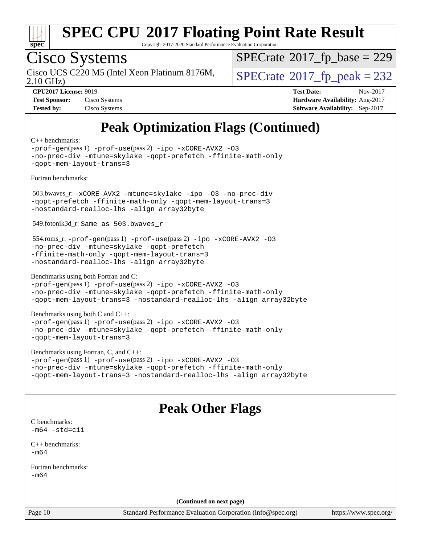

Copyright 2017-2020 Standard Performance Evaluation Corporation

# Cisco Systems

2.10 GHz) Cisco UCS C220 M5 (Intel Xeon Platinum 8176M,  $SPECrate@2017_fp\_peak = 232$  $SPECrate@2017_fp\_peak = 232$ 

 $SPECrate$ <sup>®</sup>[2017\\_fp\\_base =](http://www.spec.org/auto/cpu2017/Docs/result-fields.html#SPECrate2017fpbase) 229

| <b>Test Sponsor:</b> | Cisco Systems |
|----------------------|---------------|
| <b>Tested by:</b>    | Cisco Systems |

**[CPU2017 License:](http://www.spec.org/auto/cpu2017/Docs/result-fields.html#CPU2017License)** 9019 **[Test Date:](http://www.spec.org/auto/cpu2017/Docs/result-fields.html#TestDate)** Nov-2017 **[Hardware Availability:](http://www.spec.org/auto/cpu2017/Docs/result-fields.html#HardwareAvailability)** Aug-2017 **[Software Availability:](http://www.spec.org/auto/cpu2017/Docs/result-fields.html#SoftwareAvailability)** Sep-2017

# **[Peak Optimization Flags \(Continued\)](http://www.spec.org/auto/cpu2017/Docs/result-fields.html#PeakOptimizationFlags)**

[C++ benchmarks:](http://www.spec.org/auto/cpu2017/Docs/result-fields.html#CXXbenchmarks)

| Standard Performance Evaluation Corporation $(info@spec.org)$<br>P <sub>300</sub> 10                                                                                                                                                     | httne |
|------------------------------------------------------------------------------------------------------------------------------------------------------------------------------------------------------------------------------------------|-------|
| (Continued on next page)                                                                                                                                                                                                                 |       |
|                                                                                                                                                                                                                                          |       |
| Fortran benchmarks:<br>$-m64$                                                                                                                                                                                                            |       |
| -m64                                                                                                                                                                                                                                     |       |
| $C_{++}$ benchmarks:                                                                                                                                                                                                                     |       |
| C benchmarks:<br>$-m64 - std= c11$                                                                                                                                                                                                       |       |
| <b>Peak Other Flags</b>                                                                                                                                                                                                                  |       |
|                                                                                                                                                                                                                                          |       |
| -prof-gen(pass 1) -prof-use(pass 2) -ipo -xCORE-AVX2 -03<br>-no-prec-div -mtune=skylake -qopt-prefetch -ffinite-math-only<br>-qopt-mem-layout-trans=3 -nostandard-realloc-lhs -align array32byte                                         |       |
| Benchmarks using Fortran, C, and C++:                                                                                                                                                                                                    |       |
| Benchmarks using both C and C++:<br>-prof-gen(pass 1) -prof-use(pass 2) -ipo -xCORE-AVX2 -03<br>-no-prec-div -mtune=skylake -qopt-prefetch -ffinite-math-only<br>-gopt-mem-layout-trans=3                                                |       |
| Benchmarks using both Fortran and C:<br>-prof-gen(pass 1) -prof-use(pass 2) -ipo -xCORE-AVX2 -03<br>-no-prec-div -mtune=skylake -qopt-prefetch -ffinite-math-only<br>-qopt-mem-layout-trans=3 -nostandard-realloc-lhs -align array32byte |       |
| $554$ .roms_r: -prof-gen(pass 1) -prof-use(pass 2) -ipo -xCORE-AVX2 -03<br>-no-prec-div -mtune=skylake -qopt-prefetch<br>-ffinite-math-only -qopt-mem-layout-trans=3<br>-nostandard-realloc-lhs -align array32byte                       |       |
| 549.fotonik3d_r: Same as 503.bwaves_r                                                                                                                                                                                                    |       |
| 503.bwaves_r: -xCORE-AVX2 -mtune=skylake -ipo -03 -no-prec-div<br>-qopt-prefetch -ffinite-math-only -qopt-mem-layout-trans=3<br>-nostandard-realloc-lhs -align array32byte                                                               |       |
| Fortran benchmarks:                                                                                                                                                                                                                      |       |
| -prof-gen(pass 1) -prof-use(pass 2) -ipo -xCORE-AVX2 -03<br>-no-prec-div -mtune=skylake -qopt-prefetch -ffinite-math-only<br>-qopt-mem-layout-trans=3                                                                                    |       |

<https://www.spec.org/>